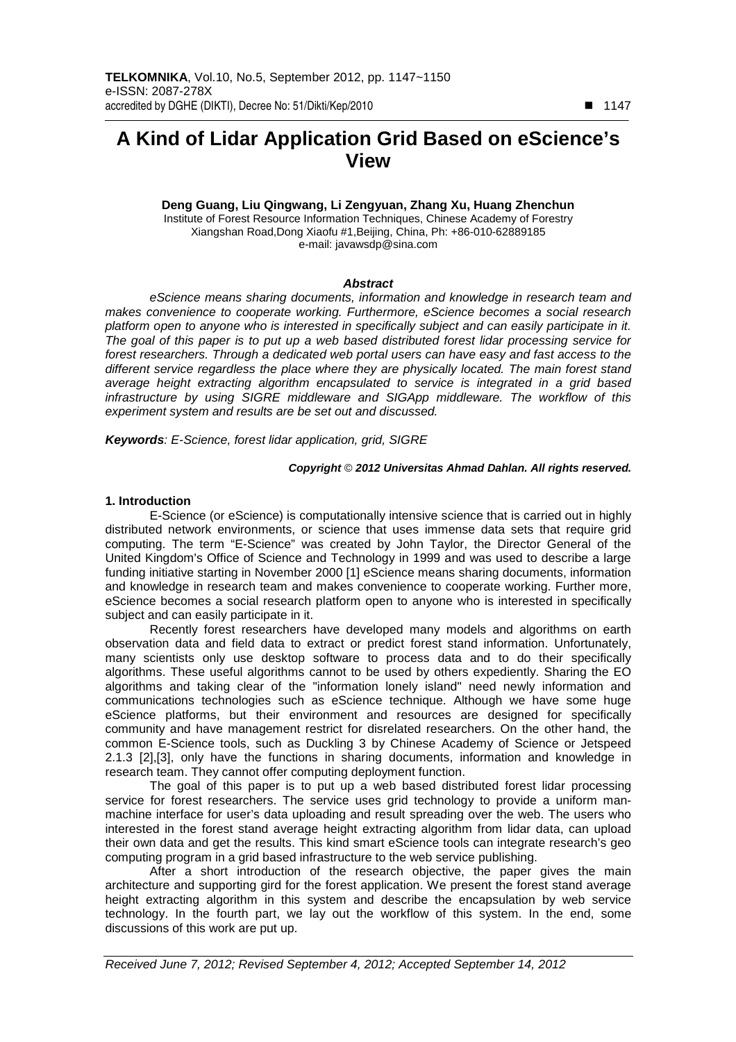# **A Kind of Lidar Application Grid Based on eScience's View**

**Deng Guang, Liu Qingwang, Li Zengyuan, Zhang Xu, Huang Zhenchun**  Institute of Forest Resource Information Techniques, Chinese Academy of Forestry Xiangshan Road,Dong Xiaofu #1,Beijing, China, Ph: +86-010-62889185 e-mail: javawsdp@sina.com

### **Abstract**

eScience means sharing documents, information and knowledge in research team and makes convenience to cooperate working. Furthermore, eScience becomes a social research platform open to anyone who is interested in specifically subject and can easily participate in it. The goal of this paper is to put up a web based distributed forest lidar processing service for forest researchers. Through a dedicated web portal users can have easy and fast access to the different service regardless the place where they are physically located. The main forest stand average height extracting algorithm encapsulated to service is integrated in a grid based infrastructure by using SIGRE middleware and SIGApp middleware. The workflow of this experiment system and results are be set out and discussed.

**Keywords**: E-Science, forest lidar application, grid, SIGRE

# **Copyright** © **2012 Universitas Ahmad Dahlan. All rights reserved.**

# **1. Introduction**

E-Science (or eScience) is computationally intensive science that is carried out in highly distributed network environments, or science that uses immense data sets that require grid computing. The term "E-Science" was created by John Taylor, the Director General of the United Kingdom's Office of Science and Technology in 1999 and was used to describe a large funding initiative starting in November 2000 [1] eScience means sharing documents, information and knowledge in research team and makes convenience to cooperate working. Further more, eScience becomes a social research platform open to anyone who is interested in specifically subject and can easily participate in it.

Recently forest researchers have developed many models and algorithms on earth observation data and field data to extract or predict forest stand information. Unfortunately, many scientists only use desktop software to process data and to do their specifically algorithms. These useful algorithms cannot to be used by others expediently. Sharing the EO algorithms and taking clear of the "information lonely island" need newly information and communications technologies such as eScience technique. Although we have some huge eScience platforms, but their environment and resources are designed for specifically community and have management restrict for disrelated researchers. On the other hand, the common E-Science tools, such as Duckling 3 by Chinese Academy of Science or Jetspeed 2.1.3 [2],[3], only have the functions in sharing documents, information and knowledge in research team. They cannot offer computing deployment function.

The goal of this paper is to put up a web based distributed forest lidar processing service for forest researchers. The service uses grid technology to provide a uniform manmachine interface for user's data uploading and result spreading over the web. The users who interested in the forest stand average height extracting algorithm from lidar data, can upload their own data and get the results. This kind smart eScience tools can integrate research's geo computing program in a grid based infrastructure to the web service publishing.

After a short introduction of the research objective, the paper gives the main architecture and supporting gird for the forest application. We present the forest stand average height extracting algorithm in this system and describe the encapsulation by web service technology. In the fourth part, we lay out the workflow of this system. In the end, some discussions of this work are put up.

-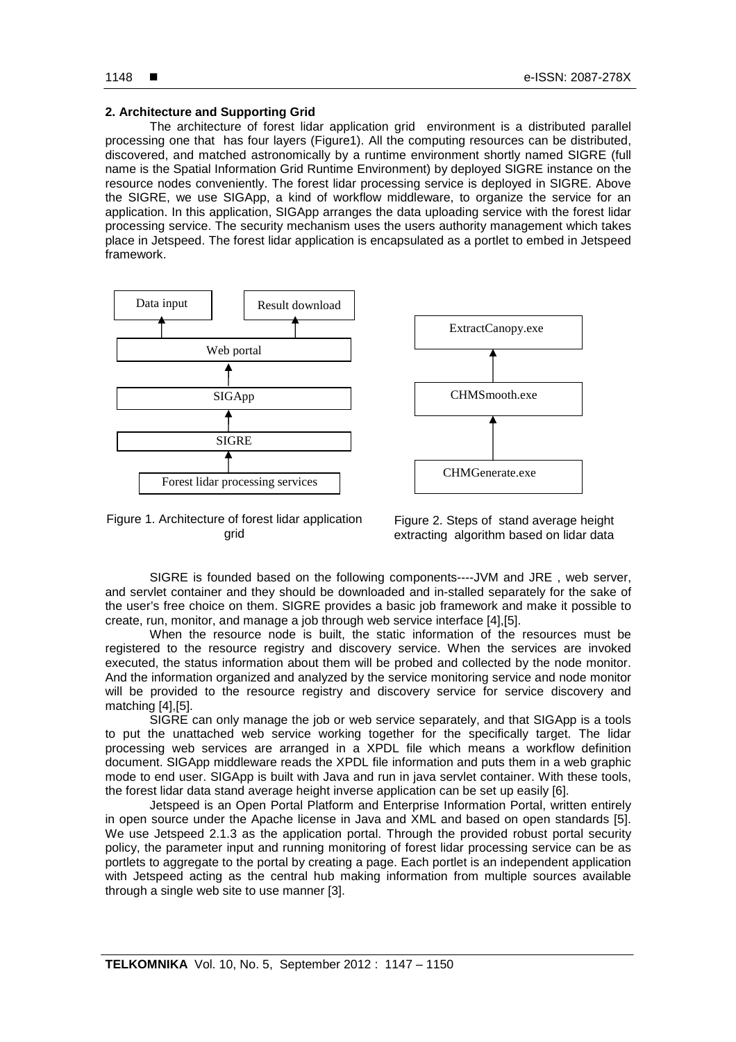# **2. Architecture and Supporting Grid**

The architecture of forest lidar application grid environment is a distributed parallel processing one that has four layers (Figure1). All the computing resources can be distributed, discovered, and matched astronomically by a runtime environment shortly named SIGRE (full name is the Spatial Information Grid Runtime Environment) by deployed SIGRE instance on the resource nodes conveniently. The forest lidar processing service is deployed in SIGRE. Above the SIGRE, we use SIGApp, a kind of workflow middleware, to organize the service for an application. In this application, SIGApp arranges the data uploading service with the forest lidar processing service. The security mechanism uses the users authority management which takes place in Jetspeed. The forest lidar application is encapsulated as a portlet to embed in Jetspeed framework.





Figure 1. Architecture of forest lidar application grid

Figure 2. Steps of stand average height extracting algorithm based on lidar data

SIGRE is founded based on the following components----JVM and JRE , web server, and servlet container and they should be downloaded and in-stalled separately for the sake of the user's free choice on them. SIGRE provides a basic job framework and make it possible to create, run, monitor, and manage a job through web service interface [4],[5].

When the resource node is built, the static information of the resources must be registered to the resource registry and discovery service. When the services are invoked executed, the status information about them will be probed and collected by the node monitor. And the information organized and analyzed by the service monitoring service and node monitor will be provided to the resource registry and discovery service for service discovery and matching [4],[5].

SIGRE can only manage the job or web service separately, and that SIGApp is a tools to put the unattached web service working together for the specifically target. The lidar processing web services are arranged in a XPDL file which means a workflow definition document. SIGApp middleware reads the XPDL file information and puts them in a web graphic mode to end user. SIGApp is built with Java and run in java servlet container. With these tools, the forest lidar data stand average height inverse application can be set up easily [6].

Jetspeed is an Open Portal Platform and Enterprise Information Portal, written entirely in open source under the Apache license in Java and XML and based on open standards [5]. We use Jetspeed 2.1.3 as the application portal. Through the provided robust portal security policy, the parameter input and running monitoring of forest lidar processing service can be as portlets to aggregate to the portal by creating a page. Each portlet is an independent application with Jetspeed acting as the central hub making information from multiple sources available through a single web site to use manner [3].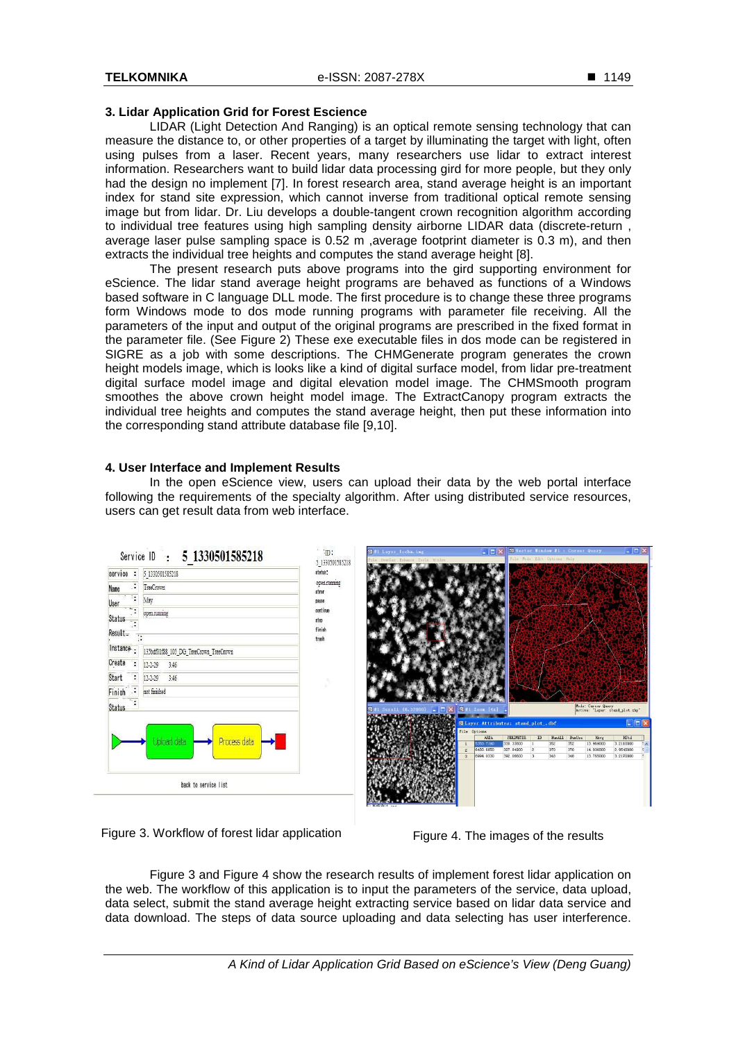# **3. Lidar Application Grid for Forest Escience**

LIDAR (Light Detection And Ranging) is an optical remote sensing technology that can measure the distance to, or other properties of a target by illuminating the target with light, often using pulses from a laser. Recent years, many researchers use lidar to extract interest information. Researchers want to build lidar data processing gird for more people, but they only had the design no implement [7]. In forest research area, stand average height is an important index for stand site expression, which cannot inverse from traditional optical remote sensing image but from lidar. Dr. Liu develops a double-tangent crown recognition algorithm according to individual tree features using high sampling density airborne LIDAR data (discrete-return , average laser pulse sampling space is 0.52 m ,average footprint diameter is 0.3 m), and then extracts the individual tree heights and computes the stand average height [8].

The present research puts above programs into the gird supporting environment for eScience. The lidar stand average height programs are behaved as functions of a Windows based software in C language DLL mode. The first procedure is to change these three programs form Windows mode to dos mode running programs with parameter file receiving. All the parameters of the input and output of the original programs are prescribed in the fixed format in the parameter file. (See Figure 2) These exe executable files in dos mode can be registered in SIGRE as a job with some descriptions. The CHMGenerate program generates the crown height models image, which is looks like a kind of digital surface model, from lidar pre-treatment digital surface model image and digital elevation model image. The CHMSmooth program smoothes the above crown height model image. The ExtractCanopy program extracts the individual tree heights and computes the stand average height, then put these information into the corresponding stand attribute database file [9,10].

# **4. User Interface and Implement Results**

In the open eScience view, users can upload their data by the web portal interface following the requirements of the specialty algorithm. After using distributed service resources, users can get result data from web interface.



Figure 3. Workflow of forest lidar application Figure 4. The images of the results

Figure 3 and Figure 4 show the research results of implement forest lidar application on the web. The workflow of this application is to input the parameters of the service, data upload, data select, submit the stand average height extracting service based on lidar data service and data download. The steps of data source uploading and data selecting has user interference.